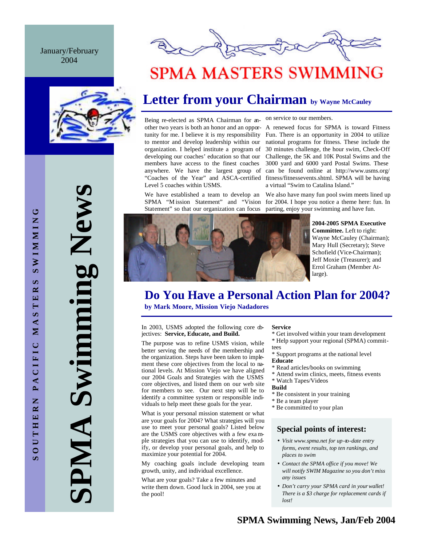#### January/February 2004





## **SPMA MASTERS SWIMMING**

## **Letter from your Chairman by Wayne McCauley**

Being re-elected as SPMA Chairman for another two years is both an honor and an opportunity for me. I believe it is my responsibility to mentor and develop leadership within our organization. I helped institute a program of developing our coaches' education so that our members have access to the finest coaches anywhere. We have the largest group of "Coaches of the Year" and ASCA-certified Level 5 coaches within USMS.

We have established a team to develop an Statement" so that our organization can focus on service to our members.

A renewed focus for SPMA is toward Fitness Fun. There is an opportunity in 2004 to utilize national programs for fitness. These include the 30 minutes challenge, the hour swim, Check-Off Challenge, the 5K and 10K Postal Swims and the 3000 yard and 6000 yard Postal Swims. These can be found online at http://www.usms.org/ fitness/fitnessevents.shtml. SPMA will be having a virtual "Swim to Catalina Island."

We also have many fun pool swim meets lined up SPMA "M ission Statement" and "Vision for 2004. I hope you notice a theme here: fun. In parting, enjoy your swimming and have fun.



**2004-2005 SPMA Executive Committee.** Left to right: Wayne McCauley (Chairman); Mary Hull (Secretary); Steve Schofield (Vice-Chairman); Jeff Moxie (Treasurer); and Errol Graham (Member Atlarge).

## **Do You Have a Personal Action Plan for 2004?**

**by Mark Moore, Mission Viejo Nadadores**

In 2003, USMS adopted the following core djectives: **Service, Educate, and Build.**

The purpose was to refine USMS vision, while better serving the needs of the membership and the organization. Steps have been taken to implement these core objectives from the local to national levels. At Mission Viejo we have aligned our 2004 Goals and Strategies with the USMS core objectives, and listed them on our web site for members to see. Our next step will be to identify a committee system or responsible individuals to help meet these goals for the year.

What is your personal mission statement or what are your goals for 2004? What strategies will you use to meet your personal goals? Listed below are the USMS core objectives with a few exa mple strategies that you can use to identify, modify, or develop your personal goals, and help to maximize your potential for 2004.

My coaching goals include developing team growth, unity, and individual excellence.

What are your goals? Take a few minutes and write them down. Good luck in 2004, see you at the pool!

#### **Service**

- \* Get involved within your team development \* Help support your regional (SPMA) committees
- \* Support programs at the national level **Educate**
- \* Read articles/books on swimming
- \* Attend swim clinics, meets, fitness events
- \* Watch Tapes/Videos
- **Build**
- \* Be consistent in your training
- \* Be a team player
- \* Be committed to your plan

#### **Special points of interest:**

- *Visit www.spma.net for up-to-date entry forms, event results, top ten rankings, and places to swim*
- *Contact the SPMA office if you move! We will notify SWIM Magazine so you don't miss any issues*
- *Don't carry your SPMA card in your wallet! There is a \$3 charge for replacement cards if lost!*

**SPMA Swimming News** Swimming New PMA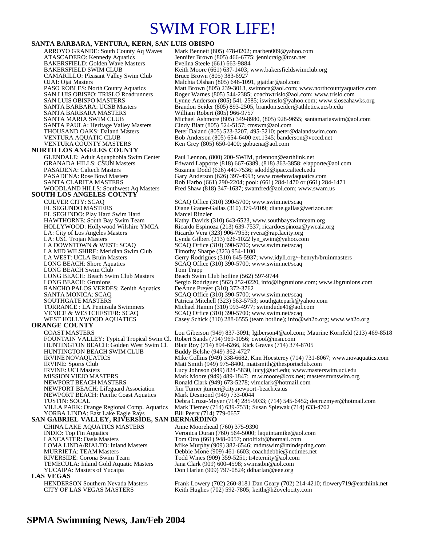## SWIM FOR LIFE!

#### **SANTA BARBARA, VENTURA, KERN, SAN LUIS OBISPO**

ARROYO GRANDE: South County Aq Waves Mark Bennett (805) 478-0202; marben009@yahoo.com<br>ATASCADERO: Kennedy Aquatics Jennifer Brown (805) 466-6775; jennicraig@tcsn.net Jennifer Brown (805) 466-6775; jennicraig@tcsn.net<br>Evelina Steele (661) 663-9884 BAKERSFIELD: Golden Wave Masters<br>BAKERSFIELD SWIM CLUB Keith Moore (661) 637-1403; www.bakersfieldswimclub.org<br>Bruce Brown (805) 383-6927 CAMARILLO: Pleasant Valley Swim Club<br>OJAI: Ojai Masters OJAI: Ojai Masters Malchia Olshan (805) 646-1091, gjaidar@aol.com PASO ROBLES: North County Aquatics Matt Brown (805) 239-3013, swimnca@aol.com; www.northcountyaquatics.com<br>SAN LUIS OBISPO: TRISLO Roadrunners Roger Warnes (805) 544-2385; coachwtrislo@aol.com; www.trislo.com SAN LUIS OBISPO: TRISLO Roadrunners Roger Warnes (805) 544-2385; coachwtrislo@aol.com; www.trislo.com<br>SAN LUIS OBISPO MASTERS Lynne Anderson (805) 541-2585; iswimslo@yahoo.com; www.sloseaha SAN LUIS OBISPO MASTERS<br>
SANTA BARBARA: UCSB Masters Brandon Seider (805) 893-2505, brandon.seider@athletics.ucsb.edu<br>
Brandon Seider (805) 893-2505, brandon.seider@athletics.ucsb.edu Brandon Seider (805) 893-2505, brandon seider@athletics.ucsb.edu<br>William Robert (805) 966-9757 SANTA BARBARA MASTERS SANTA MARIA SWIM CLUB Michael Ashmore (805) 349-8980, (805) 928-9655; santamariaswim@aol.com<br>SANTA PAULA: Heritage Valley Masters Cindy Blatt (805) 524-5157; cmswm@aol.com SANTA PAULA: Heritage Valley Masters Cindy Blatt (805) 524-5157; cmswm@aol.com<br>THOUSAND OAKS: Daland Masters Peter Daland (805) 523-3207, 495-5210; peter © THOUSAND OAKS: Daland Masters Peter Daland (805) 523-3207, 495-5210; peter@dalandswim.com<br>Peter Daland (805) 523-3207, 495-5210; peter@dalandswim.com<br>Peter Daba Anderson (805) 654-6400 ext.1345; banderson@vcccd.net VENTURA AQUATIC CLUB Bob Anderson (805) 654-6400 ext.1345; banderson @vcccd.net<br>VENTURA COUNTY MASTERS Ken Grey (805) 650-0400; gobuena @aol.com Ken Grey (805) 650-0400; gobuena@aol.com **NORTH LOS ANGELES COUNTY**  GLENDALE: Adult Aquaphobia Swim Center Paul Lennon, (800) 200-SWIM, prlennon@earthlink.net<br>GRANADA HILLS: CSUN Masters Edward Lapporte (818) 667-6389, (818) 363-3858; elapp GRANADA HILLS: CSUN Masters Edward Lapporte (818) 667-6389, (818) 363-3858; elapporte@aol.com<br>PASADENA: Caltech Masters Suzanne Dodd (626) 449-7536; sdodd@ipac.caltech.edu PASADENA: Caltech Masters Suzanne Dodd (626) 449-7536; sdodd@ipac.caltech.edu<br>PASADENA: Rose Bowl Masters Gary Anderson (626) 397-4993; www.rosebowlaquatics. PASADENA: Rose Bowl Masters Gary Anderson (626) 397-4993; www.rosebowlaquatics.com<br>SANTA CLARITA MASTERS Rob Harbo (661) 290-2204; pool: (661) 284-1470 or (661) 28 SANTA CLARITA MASTERS Rob Harbo (661) 290-2204; pool: (661) 284-1470 or (661) 284-1471<br>WOODLAND HILLS: Southwest Aq Masters Fred Shaw (818) 347-1637; swamfred@aol.com; www.swam.us Fred Shaw (818) 347-1637; swamfred@aol.com; www.swam.us **SOUTH LOS ANGELES COUNTY**  CULVER CITY: SCAQ SCAQ Office (310) 390-5700; www.swim.net/scaq<br>EL SEGUNDO MASTERS Diane Graner-Gallas (310) 379-9109; diane.gallas @ Diane Graner-Gallas (310) 379-9109; diane.gallas@verizon.net<br>Marcel Rinzler EL SEGUNDO: Play Hard Swim Hard<br>HAWTHORNE: South Bay Swim Team HAWTHORNE: South Bay Swim Team Kathy Davids (310) 643-6523, www.southbayswimteam.org<br>HOLLYWOOD: Hollywood Wilshire YMCA Ricardo Espinoza (213) 639-7537; ricardoespinoza@ywcala. HOLLYWOOD: Hollywood Wilshire YMCA Ricardo Espinoza (213) 639-7537; ricardoespinoza@ywcala.org<br>
LA: City of Los Angeles Masters Ricardo Vera (323) 906-7953; rvera@rap.lacity.org<br>
LA: USC Trojan Masters Lynda Gilbert (213) Ricardo Vera (323) 906-7953; rvera@rap.lacity.org LA: USC Trojan Masters Lynda Gilbert (213) 626-1022 lyn\_swim@yahoo.com<br>
LA DOWNTOWN & WEST: SCAQ SCAQ Office (310) 390-5700; www.swim.net/scaq SCAQ Office (310) 390-5700; www.swim.net/scaq<br>Timothy Sharpe (323) 954-1100 LA MID WILSHIRE: Meridian Swim Club<br>LA WEST: UCLA Bruin Masters LA WEST: UCLA Bruin Masters Gerry Rodrigues (310) 645-5937; www.idyll.org/~henryh/bruinmasters LONG BEACH: Shore Aquatics SCAQ Office (310) 390-5700; www.swim.net/scaq SCAQ Office (310) 390-5700; www.swim.net/scaq LONG BEACH Swim Club Tom Trapp<br>
LONG BEACH: Beach Swim Club Masters Beach Swim Club hotline (562) 597-9744 LONG BEACH: Beach Swim Club Masters<br>LONG BEACH: Grunions Sergio Rodriguez (562) 252-0220, info@lbgrunions.com; www.lbgrunions.com<br>DeAnne Preyer (310) 372-3762 RANCHO PALOS VERDES: Zenith Aquatics SANTA MONICA: SCAQ SCAQ Office (310) 390-5700; www.swim.net/scaq SOUTHGATE MASTERS Patricia Mitchell (323) 563-5753; southgatepark@yahoo.com<br>
TORRANCE : LA Peninsula Swimmers Michael Hamm (310) 993-4977; swimdude41@aol.com TORRANCE : LA Peninsula Swimmers Michael Hamm (310) 993-4977; swimdude41@aol.com VENICE & WESTCHESTER: SCAQ SCAQ Office (310) 390-5700; www.swim.net/scaq<br>WEST HOLLYWOOD AQUATICS Casey Schick (310) 288-6555 (team hotline); info@ Casey Schick (310) 288-6555 (team hotline); info@wh2o.org; www.wh2o.org **ORANGE COUNTY**  COAST MASTERS Lou Giberson (949) 837-3091; lgiberson4@aol.com; Maurine Kornfeld (213) 469-8518 FOUNTAIN VALLEY: Typical Tropical Swim Cl.<br>HUNTINGTON BEACH: Golden West Swim Cl. Blair Roy (714) 894-6266, Rick Graves (714) 374-8705<br>Buddy Belshe (949) 362-4727 HUNTINGTON BEACH SWIM CLUB IRVINE NOVAQUATICS Mike Collins (949) 338-6682, Kim Hoesterey (714) 731-8067; www.novaquatics.com IRVINE: Sports Club Matt Smith (949) 975-8400, mattsmith@thesportsclub.com<br>IRVINE: UCI Masters Lucy Johnson (949) 824-5830, lucyj@uci.edu; www.master IRVINE: UCI Masters Lucy Johnson (949) 824-5830, lucyj@uci.edu; www.masterswim.uci.edu<br>MISSION VIEJO MASTERS Mark Moore (949) 489-1847: m.w.moore@cox.net: mastersmynswim.or Mark Moore (949) 489-1847; m.w.moore@cox.net; mastersmvnswim.org NEWPORT BEACH MASTERS<br>NEWPORT BEACH: Lifeguard Association Jim Turner jturner@city.newport -beach.ca.us Jim Turner jturner@city.newport-beach.ca.us<br>Mark Desmond (949) 733-0044 NEWPORT BEACH: Pacific Coast Aquatics TUSTIN: SOCAL Debra Cruze-Meyer (714) 285-9033; (714) 545-6452; decruzmyer@hotmail.com Mark Tiemey (714) 639-7531; Susan Spiewak (714) 633-4702<br>Bill Peery (714) 779-0657 VILLA PARK: Orange Regional Comp. Aquatics<br>YORBA LINDA: East Lake Eagle Rays **SAN GABRIEL VALLEY, RIVERSIDE, SAN BERNARDINO**  CHINA LAKE AQUATICS MASTERS Anne Moorehead (760) 375-9390 INDIO: Top Fin Aquatics Veronica Duran (760) 564-5000; laquintamike@aol.com<br>
LANCASTER: Oasis Masters Tom Otto (661) 948-0057; ottolfixit@hotmail.com LANCASTER: Oasis Masters Tom Otto (661) 948-0057; ottolfixit@hotmail.com<br>COMA LINDA/RIALTO: Inland Masters Mike Murphy (909) 382-6546; mdmswim@minds Mike Murphy (909) 382-6546; mdmswim@mindspring.com MURRIETA: TEAM Masters Debbie Mone (909) 461-6603; coachdebbie@nctimes.net<br>RIVERSIDE: Corona Swim Team Todd Wines (909) 359-5251; tr4eternity@aol.com RIVERSIDE: Corona Swim Team Todd Wines (909) 359-5251; tr4eternity@aol.com<br>TEMECULA: Inland Gold Aquatic Masters Jana Clark (909) 600-4598; swimstbn@aol.com TEMECULA: Inland Gold Aquatic Masters Jana Clark (909) 600-4598; swimstbn@aol.com<br>YUCAIPA: Masters of Yucaipa Don Harlan (909) 797-0824; ddharlan@eee.org Don Harlan (909) 797-0824; ddharlan@eee.org **LAS VEGAS**  HENDERSON Southern Nevada Masters Frank Lowery (702) 260-8181 Dan Geary (702) 214-4210; flowery719@earthlink.net CITY OF LAS VEGAS MASTERS Keith Hughes (702) 592-7805; keith@h2ovelocity.com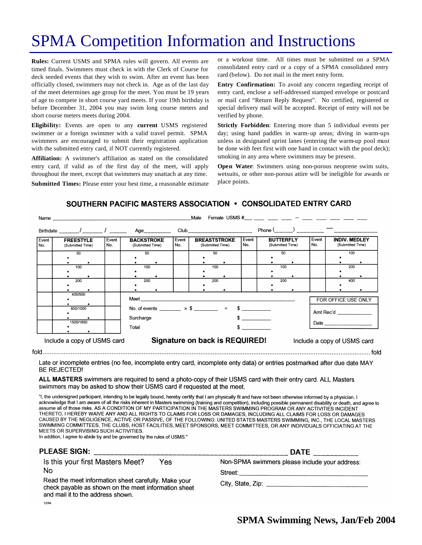## SPMA Competition Information and Instructions

**Rules:** Current USMS and SPMA rules will govern. All events are timed finals. Swimmers must check in with the Clerk of Course for deck seeded events that they wish to swim. After an event has been officially closed, swimmers may not check in. Age as of the last day of the meet determines age group for the meet. You must be 19 years of age to compete in short course yard meets. If your 19th birthday is before December 31, 2004 you may swim long course meters and short course meters meets during 2004.

**Eligibility:** Events are open to any **current** USMS registered swimmer or a foreign swimmer with a valid travel permit. SPMA swimmers are encouraged to submit their registration application with the submitted entry card, if NOT currently registered.

**Affiliation:** A swimmer's affiliation as stated on the consolidated entry card, if valid as of the first day of the meet, will apply throughout the meet, except that swimmers may unattach at any time.

**Submitted Times:** Please enter your best time, a reasonable estimate

or a workout time. All times must be submitted on a SPMA consolidated entry card or a copy of a SPMA consolidated entry card (below). Do not mail in the meet entry form.

**Entry Confirmation:** To avoid any concern regarding receipt of entry card, enclose a self-addressed stamped envelope or postcard or mail card "Return Reply Request". No certified, registered or special delivery mail will be accepted. Receipt of entry will not be verified by phone.

**Strictly Forbidden**: Entering more than 5 individual events per day; using hand paddles in warm-up areas; diving in warm-ups unless in designated sprint lanes (entering the warm-up pool must be done with feet first with one hand in contact with the pool deck); smoking in any area where swimmers may be present.

**Open Water**: Swimmers using non-porous neoprene swim suits, wetsuits, or other non-porous attire will be ineligible for awards or place points.

#### SOUTHERN PACIFIC MASTERS ASSOCIATION . CONSOLIDATED ENTRY CARD

| Event | <b>FREESTYLE</b> | Event | <b>BACKSTROKE</b>                    | Event | <b>BREASTSTROKE</b>                                        | Event | <b>BUTTERFLY</b> | Event | <b>INDIV. MEDLEY</b>                                                                                                                                                                                                           |  |
|-------|------------------|-------|--------------------------------------|-------|------------------------------------------------------------|-------|------------------|-------|--------------------------------------------------------------------------------------------------------------------------------------------------------------------------------------------------------------------------------|--|
| No.   | (Submitted Time) | No.   | (Submitted Time)                     | No.   | (Submitted Time)                                           | No.   | (Submitted Time) | No.   | (Submitted Time)                                                                                                                                                                                                               |  |
|       | 50               |       | 50                                   |       | 50                                                         |       | 50               |       | 100                                                                                                                                                                                                                            |  |
|       |                  |       |                                      |       |                                                            |       |                  |       |                                                                                                                                                                                                                                |  |
|       | 100              |       | 100                                  |       | 100                                                        |       | 100              |       | 200                                                                                                                                                                                                                            |  |
|       |                  |       |                                      |       |                                                            |       |                  |       |                                                                                                                                                                                                                                |  |
|       | 200              |       | 200                                  |       | 200                                                        |       | 200              |       | 400                                                                                                                                                                                                                            |  |
|       |                  |       |                                      |       |                                                            |       |                  |       |                                                                                                                                                                                                                                |  |
|       | 400/500          |       | <b>Meet Example</b>                  |       |                                                            |       |                  |       | FOR OFFICE USE ONLY                                                                                                                                                                                                            |  |
|       | 800/1000         |       |                                      |       | No. of events ________ $\times$ \$ ________ = \$ _________ |       |                  |       | Amt Rec'd _____________                                                                                                                                                                                                        |  |
|       | 1500/1650        |       | Surcharge<br>$s$ __________<br>Total |       |                                                            |       |                  |       | Date and the contract of the contract of the contract of the contract of the contract of the contract of the contract of the contract of the contract of the contract of the contract of the contract of the contract of the c |  |
|       |                  |       |                                      |       |                                                            |       |                  |       |                                                                                                                                                                                                                                |  |

Late or incomplete entries (no fee, incomplete entry card, incomplete enty data) or entries postmarked after due date MAY BE REJECTED!

ALL MASTERS swimmers are required to send a photo-copy of their USMS card with their entry card. ALL Masters swimmers may be asked to show their USMS card if requested at the meet.

"I, the undersigned participant, intending to be legally bound, hereby certify that I am physically fit and have not been otherwise informed by a physician. I acknowledge that I am aware of all the risks inherent in Masters swimming (training and competition), including possible permanent disability or death, and agree to assume all of those risks. AS A CONDITION OF MY PARTICIPATION IN THE MASTERS SWIMMING PROGRAM OR ANY ACTIVITIES INCIDENT THERETO, I HEREBY WAIVE ANY AND ALL RIGHTS TO CLAIMS FOR LOSS OR DAMAGES, INCLUDING ALL CLAIMS FOR LOSS OR DAMAGES CAUSED BY THE NEGLIGENCE, ACTIVE OR PASSIVE, OF THE FOLLOWING: UNITED STATES MASTERS SWIMMING, INC., THE LOCAL MASTERS SWIMMING COMMITTEES, THE CLUBS, HOST FACILITIES, MEET SPONSORS, MEET COMMITTEES, OR ANY INDIVIDUALS OFFICIATING AT THE MEETS OR SUPERVISING SUCH ACTIVITIES.

In addition, I agree to abide by and be governed by the rules of USMS."

| <b>PLEASE SIGN:</b>                                                                                                                               | <b>DATE</b>                                    |  |  |
|---------------------------------------------------------------------------------------------------------------------------------------------------|------------------------------------------------|--|--|
| Is this your first Masters Meet?<br>Yes                                                                                                           | Non-SPMA swimmers please include your address: |  |  |
| No                                                                                                                                                | Street:                                        |  |  |
| Read the meet information sheet carefully. Make your<br>check payable as shown on the meet information sheet<br>and mail it to the address shown. | City, State, Zip: $\frac{1}{2}$                |  |  |
| 12/04                                                                                                                                             |                                                |  |  |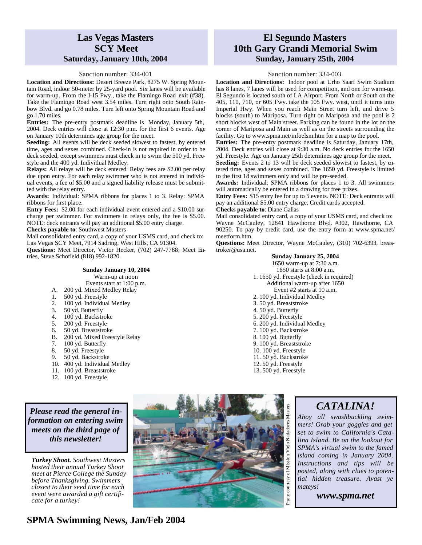### **Las Vegas Masters SCY Meet Saturday, January 10th, 2004**

#### Sanction number: 334-001

**Location and Directions:** Desert Breeze Park, 8275 W. Spring Mountain Road, indoor 50-meter by 25-yard pool. Six lanes will be available for warm-up. From the I-15 Fwy., take the Flamingo Road exit (#38). Take the Flamingo Road west 3.54 miles. Turn right onto South Rainbow Blvd. and go 0.78 miles. Turn left onto Spring Mountain Road and go 1.70 miles.

**Entries:** The pre-entry postmark deadline is Monday, January 5th, 2004. Deck entries will close at 12:30 p.m. for the first 6 events. Age on January 10th determines age group for the meet.

**Seeding:** All events will be deck seeded slowest to fastest, by entered time, ages and sexes combined. Check-in is not required in order to be deck seeded, except swimmers must check in to swim the 500 yd. Freestyle and the 400 yd. Individual Medley.

**Relays:** All relays will be deck entered. Relay fees are \$2.00 per relay due upon entry. For each relay swimmer who is not entered in individual events, a fee of \$5.00 and a signed liability release must be submitted with the relay entry.

**Awards:** Individual: SPMA ribbons for places 1 to 3. Relay: SPMA ribbons for first place.

**Entry Fees:** \$2.00 for each individual event entered and a \$10.00 surcharge per swimmer. For swimmers in relays only, the fee is \$5.00. NOTE: deck entrants will pay an additional \$5.00 entry charge.

**Checks payable to**: Southwest Masters

Mail consolidated entry card, a copy of your USMS card, and check to: Las Vegas SCY Meet, 7914 Sadring, West Hills, CA 91304.

**Questions:** Meet Director, Victor Hecker, (702) 247-7788; Meet Entries, Steve Schofield (818) 992-1820.

#### **Sunday January 10, 2004** Warm-up at noon

Events start at 1:00 p.m.

- A. 200 yd. Mixed Medley Relay
- 1. 500 yd. Freestyle
- 2. 100 yd. Individual Medley
- 3. 50 yd. Butterfly
- 4.  $100 \text{ yd. Back stroke}$
- 5. 200 yd. Freestyle
- 
- 6. 50 yd. Breaststroke B. 200 yd. Mixed Freestyle Relay<br>7. 100 vd. Butterfly
- 100 yd. Butterfly
- 
- 8. 50 yd. Freestyle 9. 50 yd. Backstroke
- 10. 400 yd. Individual Medley
- 11. 100 yd. Breaststroke
- 12. 100 yd. Freestyle

#### *Please read the general information on entering swim meets on the third page of this newsletter!*

*Turkey Shoot. Southwest Masters hosted their annual Turkey Shoot meet at Pierce College the Sunday before Thanksgiving. Swimmers closest to their seed time for each event were awarded a gift certificate for a turkey!*

## **El Segundo Masters 10th Gary Grandi Memorial Swim Sunday, January 25th, 2004**

#### Sanction number: 334-003

**Location and Directions:** Indoor pool at Urho Saari Swim Stadium has 8 lanes, 7 lanes will be used for competition, and one for warm-up. El Segundo is located south of LA Airport. From North or South on the 405, 110, 710, or 605 Fwy. take the 105 Fwy. west, until it turns into Imperial Hwy. When you reach Main Street turn left, and drive 5 blocks (south) to Mariposa. Turn right on Mariposa and the pool is 2 short blocks west of Main street. Parking can be found in the lot on the corner of Mariposa and Main as well as on the streets surrounding the facility. Go to www.spma.net/infoelsm.htm for a map to the pool.

**Entries:** The pre-entry postmark deadline is Saturday, January 17th, 2004. Deck entries will close at 9:30 a.m. No deck entries for the 1650 yd. Freestyle. Age on January 25th determines age group for the meet.

Seeding: Events 2 to 13 will be deck seeded slowest to fastest, by entered time, ages and sexes combined. The 1650 yd. Freestyle is limited to the first 18 swimmers only and will be pre-seeded.

**Awards:** Individual: SPMA ribbons for places 1 to 3. All swimmers will automatically be entered in a drawing for free prizes.

**Entry Fees:** \$15 entry fee for up to 5 events. NOTE: Deck entrants will pay an additional \$5.00 entry charge. Credit cards accepted.

#### **Checks payable to**: Diane Gallas

Mail consolidated entry card, a copy of your USMS card, and check to: Wayne McCauley, 12841 Hawthorne Blvd. #302, Hawthorne, CA 90250. To pay by credit card, use the entry form at www.spma.net/ meetform.htm.

**Questions:** Meet Director, Wayne McCauley, (310) 702-6393, breastroker@usa.net.

#### **Sunday January 25, 2004**

1650 warm-up at 7:30 a.m. 1650 starts at 8:00 a.m. 1. 1650 yd. Freestyle (check in required) Additional warm-up after 1650 Event #2 starts at 10 a.m. 2. 100 yd. Individual Medley 3. 50 yd. Breaststroke 4. 50 yd. Butterfly 5. 200 yd. Freestyle 6. 200 yd. Individual Medley 7. 100 yd. Backstroke 8. 100 yd. Butterfly 9. 100 yd. Breaststroke 10. 100 yd. Freestyle

- 11. 50 yd. Backstroke
- 12. 50 yd. Freestyle
- 13. 500 yd. Freestyle

## *CATALINA!*

*Ahoy all swashbuckling swimmers! Grab your goggles and get set to swim to California's Catalina Island. Be on the lookout for SPMA's virtual swim to the famed island coming in January 2004. Instructions and tips will be posted, along with clues to potential hidden treasure. Avast ye mateys!*

*www.spma.net*

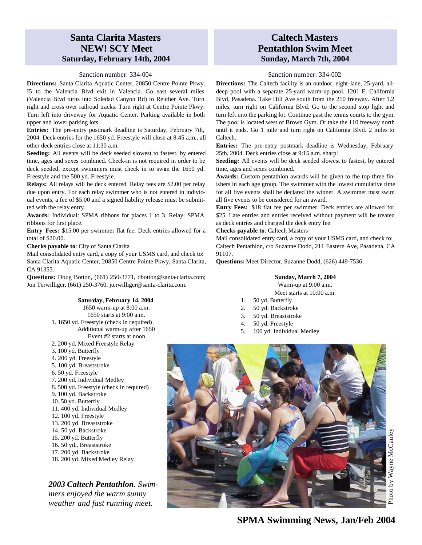### **Santa Clarita Masters NEW! SCY Meet Saturday, February 14th, 2004**

#### Sanction number: 334-004

**Directions:** Santa Clarita Aquatic Center, 20850 Centre Pointe Pkwy. I5 to the Valencia Blvd exit in Valencia. Go east several miles (Valencia Blvd turns into Soledad Canyon Rd) to Reuther Ave. Turn right and cross over railroad tracks. Turn right at Centre Pointe Pkwy. Turn left into driveway for Aquatic Center. Parking available in both upper and lower parking lots.

**Entries:** The pre-entry postmark deadline is Saturday, February 7th, 2004. Deck entries for the 1650 yd. Freestyle will close at 8:45 a.m., all other deck entries close at 11:30 a.m.

**Seeding:** All events will be deck seeded slowest to fastest, by entered time, ages and sexes combined. Check-in is not required in order to be deck seeded, except swimmers must check in to swim the 1650 yd. Freestyle and the 500 yd. Freestyle.

**Relays:** All relays will be deck entered. Relay fees are \$2.00 per relay due upon entry. For each relay swimmer who is not entered in individual events, a fee of \$5.00 and a signed liability release must be submitted with the relay entry.

**Awards:** Individual: SPMA ribbons for places 1 to 3. Relay: SPMA ribbons for first place.

**Entry Fees:** \$15.00 per swimmer flat fee. Deck entries allowed for a total of \$20.00.

**Checks payable to**: City of Santa Clarita

Mail consolidated entry card, a copy of your USMS card, and check to: Santa Clarita Aquatic Center, 20850 Centre Pointe Pkwy, Santa Clarita, CA 91355.

**Questions:** Doug Botton, (661) 250-3771, dbotton@santa-clarita.com; Jon Terwilliger, (661) 250-3760, jterwilliger@santa-clarita.com.

#### **Saturday, February 14, 2004**

- 1650 warm-up at 8:00 a.m. 1650 starts at 9:00 a.m. 1. 1650 yd. Freestyle (check in required) Additional warm-up after 1650 Event #2 starts at noon 2. 200 yd. Mixed Freestyle Relay
- 3. 100 yd. Butterfly
- 4. 200 yd. Freestyle
- 5. 100 yd. Breaststroke
- 6. 50 yd. Freestyle
- 7. 200 yd. Individual Medley
- 8. 500 yd. Freestyle (check in required)
- 9. 100 yd. Backstroke
- 10. 50 yd. Butterfly
- 11. 400 yd. Individual Medley
- 12. 100 yd. Freestyle
- 13. 200 yd. Breaststroke
- 14. 50 yd. Backstroke
- 15. 200 yd. Butterfly
- 16. 50 yd.. Breaststroke
- 17. 200 yd. Backstroke
- 18. 200 yd. Mixed Medley Relay

*2003 Caltech Pentathlon. Swimmers enjoyed the warm sunny weather and fast running meet.*

### **Caltech Masters Pentathlon Swim Meet Sunday, March 7th, 2004**

#### Sanction number: 334-002

**Directions:** The Caltech facility is an outdoor, eight-lane, 25-yard, alldeep pool with a separate 25-yard warm-up pool. 1201 E. California Blvd, Pasadena. Take Hill Ave south from the 210 freeway. After 1.2 miles, turn right on California Blvd. Go to the second stop light and turn left into the parking lot. Continue past the tennis courts to the gym. The pool is located west of Brown Gym. Or take the 110 freeway north until it ends. Go 1 mile and turn right on California Blvd. 2 miles to Caltech.

**Entries:** The pre-entry postmark deadline is Wednesday, February 25th, 2004. Deck entries close at 9:15 a.m. sharp!

**Seeding:** All events will be deck seeded slowest to fastest, by entered time, ages and sexes combined.

**Awards:** Custom pentathlon awards will be given to the top three finishers in each age group. The swimmer with the lowest cumulative time for all five events shall be declared the winner. A swimmer must swim all five events to be considered for an award.

**Entry Fees:** \$18 flat fee per swimmer. Deck entries are allowed for \$25. Late entries and entries received without payment will be treated as deck entries and charged the deck entry fee.

#### **Checks payable to**: Caltech Masters

Mail consolidated entry card, a copy of your USMS card, and check to: Caltech Pentathlon, c/o Suzanne Dodd, 211 Eastern Ave, Pasadena, CA 91107.

**Questions:** Meet Director, Suzanne Dodd, (626) 449-7536.

#### **Sunday, March 7, 2004**

Warm-up at 9:00 a.m. Meet starts at 10:00 a.m.

- 1. 50 yd. Butterfly
- 2. 50 yd. Backstroke
- 3. 50 yd. Breaststroke
- 4. 50 yd. Freestyle
- 5. 100 yd. Individual Medley

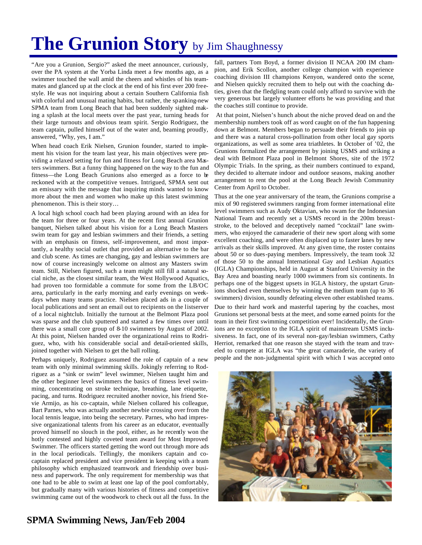# The Grunion Story by Jim Shaughnessy

"Are you a Grunion, Sergio?" asked the meet announcer, curiously, over the PA system at the Yorba Linda meet a few months ago, as a swimmer touched the wall amid the cheers and whistles of his teammates and glanced up at the clock at the end of his first ever 200 freestyle. He was not inquiring about a certain Southern California fish with colorful and unusual mating habits, but rather, the spanking-new SPMA team from Long Beach that had been suddenly sighted making a splash at the local meets over the past year, turning heads for their large turnouts and obvious team spirit. Sergio Rodriguez, the team captain, pulled himself out of the water and, beaming proudly, answered, "Why, yes, I am."

When head coach Erik Nielsen, Grunion founder, started to implement his vision for the team last year, his main objectives were providing a relaxed setting for fun and fitness for Long Beach area Masters swimmers. But a funny thing happened on the way to the fun and fitness—the Long Beach Grunions also emerged as a force to be reckoned with at the competitive venues. Intrigued, SPMA sent out an emissary with the message that inquiring minds wanted to know more about the men and women who make up this latest swimming phenomenon. This is their story…

A local high school coach had been playing around with an idea for the team for three or four years. At the recent first annual Grunion banquet, Nielsen talked about his vision for a Long Beach Masters swim team for gay and lesbian swimmers and their friends, a setting with an emphasis on fitness, self-improvement, and most importantly, a healthy social outlet that provided an alternative to the bar and club scene. As times are changing, gay and lesbian swimmers are now of course increasingly welcome on almost any Masters swim team. Still, Nielsen figured, such a team might still fill a natural social niche, as the closest similar team, the West Hollywood Aquatics, had proven too formidable a commute for some from the LB/OC area, particularly in the early morning and early evenings on weekdays when many teams practice. Nielsen placed ads in a couple of local publications and sent an email out to recipients on the listserver of a local nightclub. Initially the turnout at the Belmont Plaza pool was sparse and the club sputtered and started a few times over until there was a small core group of 8-10 swimmers by August of 2002. At this point, Nielsen handed over the organizational reins to Rodriguez, who, with his considerable social and detail-oriented skills, joined together with Nielsen to get the ball rolling.

Perhaps uniquely, Rodriguez assumed the role of captain of a new team with only minimal swimming skills. Jokingly referring to Rodriguez as a "sink or swim" level swimmer, Nielsen taught him and the other beginner level swimmers the basics of fitness level swimming, concentrating on stroke technique, breathing, lane etiquette, pacing, and turns. Rodriguez recruited another novice, his friend Stevie Armijo, as his co-captain, while Nielsen collared his colleague, Bart Parnes, who was actually another newbie crossing over from the local tennis league, into being the secretary. Parnes, who had impressive organizational talents from his career as an educator, eventually proved himself no slouch in the pool, either, as he recently won the hotly contested and highly coveted team award for Most Improved Swimmer. The officers started getting the word out through more ads in the local periodicals. Tellingly, the monikers captain and cocaptain replaced president and vice president in keeping with a team philosophy which emphasized teamwork and friendship over business and paperwork. The only requirement for membership was that one had to be able to swim at least one lap of the pool comfortably, but gradually many with various histories of fitness and competitive swimming came out of the woodwork to check out all the fuss. In the

fall, partners Tom Boyd, a former division II NCAA 200 IM champion, and Erik Scollon, another college champion with experience coaching division III champions Kenyon, wandered onto the scene, and Nielsen quickly recruited them to help out with the coaching duties, given that the fledgling team could only afford to survive with the very generous but largely volunteer efforts he was providing and that the coaches still continue to provide.

 At that point, Nielsen's hunch about the niche proved dead on and the membership numbers took off as word caught on of the fun happening down at Belmont. Members began to persuade their friends to join up and there was a natural cross-pollination from other local gay sports organizations, as well as some area triathletes. In October of '02, the Grunions formalized the arrangement by joining USMS and striking a deal with Belmont Plaza pool in Belmont Shores, site of the 1972 Olympic Trials. In the spring, as their numbers continued to expand, they decided to alternate indoor and outdoor seasons, making another arrangement to rent the pool at the Long Beach Jewish Community Center from April to October.

Thus at the one year anniversary of the team, the Grunions comprise a mix of 90 registered swimmers ranging from former international elite level swimmers such as Audy Oktavian, who swam for the Indonesian National Team and recently set a USMS record in the 200m breaststroke, to the beloved and deceptively named "cocktail" lane swimmers, who enjoyed the camaraderie of their new sport along with some excellent coaching, and were often displaced up to faster lanes by new arrivals as their skills improved. At any given time, the roster contains about 50 or so dues-paying members. Impressively, the team took 32 of those 50 to the annual International Gay and Lesbian Aquatics (IGLA) Championships, held in August at Stanford University in the Bay Area and boasting nearly 1000 swimmers from six continents. In perhaps one of the biggest upsets in IGLA history, the upstart Grunions shocked even themselves by winning the medium team (up to 36 swimmers) division, soundly defeating eleven other established teams.

Due to their hard work and masterful tapering by the coaches, most Grunions set personal bests at the meet, and some earned points for the team in their first swimming competition ever! Incidentally, the Grunions are no exception to the IGLA spirit of mainstream USMS inclusiveness. In fact, one of its several non-gay/lesbian swimmers, Cathy Herriot, remarked that one reason she stayed with the team and traveled to compete at IGLA was "the great camaraderie, the variety of people and the non-judgmental spirit with which I was accepted onto

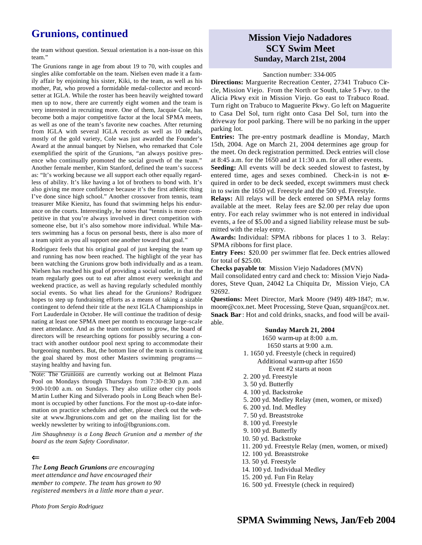## **Grunions, continued**

the team without question. Sexual orientation is a non-issue on this team."

The Grunions range in age from about 19 to 70, with couples and singles alike comfortable on the team. Nielsen even made it a family affair by enjoining his sister, Kiki, to the team, as well as his mother, Pat, who proved a formidable medal-collector and recordsetter at IGLA. While the roster has been heavily weighted toward men up to now, there are currently eight women and the team is very interested in recruiting more. One of them, Jacquie Cole, has become both a major competitive factor at the local SPMA meets, as well as one of the team's favorite new coaches. After returning from IGLA with several IGLA records as well as 10 medals, mostly of the gold variety, Cole was just awarded the Founder's Award at the annual banquet by Nielsen, who remarked that Cole exemplified the spirit of the Grunions, "an always positive presence who continually promoted the social growth of the team." Another female member, Kim Stanford, defined the team's success as: "It's working because we all support each other equally regardless of ability. It's like having a lot of brothers to bond with. It's also giving me more confidence because it's the first athletic thing I've done since high school." Another crossover from tennis, team treasurer Mike Kienitz, has found that swimming helps his endurance on the courts. Interestingly, he notes that "tennis is more competitive in that you're always involved in direct competition with someone else, but it's also somehow more individual. While Masters swimming has a focus on personal bests, there is also more of a team spirit as you all support one another toward that goal."

Rodriguez feels that his original goal of just keeping the team up and running has now been reached. The highlight of the year has been watching the Grunions grow both individually and as a team. Nielsen has reached his goal of providing a social outlet, in that the team regularly goes out to eat after almost every weeknight and weekend practice, as well as having regularly scheduled monthly social events. So what lies ahead for the Grunions? Rodriguez hopes to step up fundraising efforts as a means of taking a sizable contingent to defend their title at the next IGLA Championships in Fort Lauderdale in October. He will continue the tradition of designating at least one SPMA meet per month to encourage large-scale meet attendance. And as the team continues to grow, the board of directors will be researching options for possibly securing a contract with another outdoor pool next spring to accommodate their burgeoning numbers. But, the bottom line of the team is continuing the goal shared by most other Masters swimming programs staying healthy and having fun.

Note: The Grunions are currently working out at Belmont Plaza Pool on Mondays through Thursdays from 7:30-8:30 p.m. and 9:00-10:00 a.m. on Sundays. They also utilize other city pools M artin Luther King and Silverado pools in Long Beach when Belmont is occupied by other functions. For the most up-to-date information on practice schedules and other, please check out the website at www.lbgrunions.com and get on the mailing list for the weekly newsletter by writing to info@lbgrunions.com.

*Jim Shaughnessy is a Long Beach Grunion and a member of the board as the team Safety Coordinator.* 

#### $\leftarrow$

*The Long Beach Grunions are encouraging meet attendance and have encouraged their member to compete. The team has grown to 90 registered members in a little more than a year.*

*Photo from Sergio Rodriguez*

### **Mission Viejo Nadadores SCY Swim Meet Sunday, March 21st, 2004**

#### Sanction number: 334-005

**Directions:** Marguerite Recreation Center, 27341 Trabuco Circle, Mission Viejo. From the North or South, take 5 Fwy. to the Alicia Pkwy exit in Mission Viejo. Go east to Trabuco Road. Turn right on Trabuco to Maguerite Pkwy. Go left on Maguerite to Casa Del Sol, turn right onto Casa Del Sol, turn into the driveway for pool parking. There will be no parking in the upper parking lot.

**Entries:** The pre-entry postmark deadline is Monday, March 15th, 2004. Age on March 21, 2004 determines age group for the meet. On deck registration permitted. Deck entries will close at 8:45 a.m. for the 1650 and at 11:30 a.m. for all other events.

**Seeding:** All events will be deck seeded slowest to fastest, by entered time, ages and sexes combined. Check-in is not required in order to be deck seeded, except swimmers must check in to swim the 1650 yd. Freestyle and the 500 yd. Freestyle.

**Relays:** All relays will be deck entered on SPMA relay forms available at the meet. Relay fees are \$2.00 per relay due upon entry. For each relay swimmer who is not entered in individual events, a fee of \$5.00 and a signed liability release must be submitted with the relay entry.

**Awards:** Individual: SPMA ribbons for places 1 to 3. Relay: SPMA ribbons for first place.

**Entry Fees:** \$20.00 per swimmer flat fee. Deck entries allowed for total of \$25.00.

**Checks payable to**: Mission Viejo Nadadores (MVN)

Mail consolidated entry card and check to: Mission Viejo Nadadores, Steve Quan, 24042 La Chiquita Dr, Mission Viejo, CA 92692.

**Questions:** Meet Director, Mark Moore (949) 489-1847; m.w. moore@cox.net. Meet Processing, Steve Quan, srquan@cox.net. **Snack Bar** : Hot and cold drinks, snacks, and food will be available.

#### **Sunday March 21, 2004** 1650 warm-up at 8:00 a.m. 1650 starts at 9:00 a.m. 1. 1650 yd. Freestyle (check in required) Additional warm-up after 1650 Event #2 starts at noon 2. 200 yd. Freestyle 3. 50 yd. Butterfly 4. 100 yd. Backstroke 5. 200 yd. Medley Relay (men, women, or mixed) 6. 200 yd. Ind. Medley 7. 50 yd. Breaststroke 8. 100 yd. Freestyle 9. 100 yd. Butterfly 10. 50 yd. Backstroke 11. 200 yd. Freestyle Relay (men, women, or mixed) 12. 100 yd. Breaststroke 13. 50 yd. Freestyle 14. 100 yd. Individual Medley 15. 200 yd. Fun Fin Relay

16. 500 yd. Freestyle (check in required)